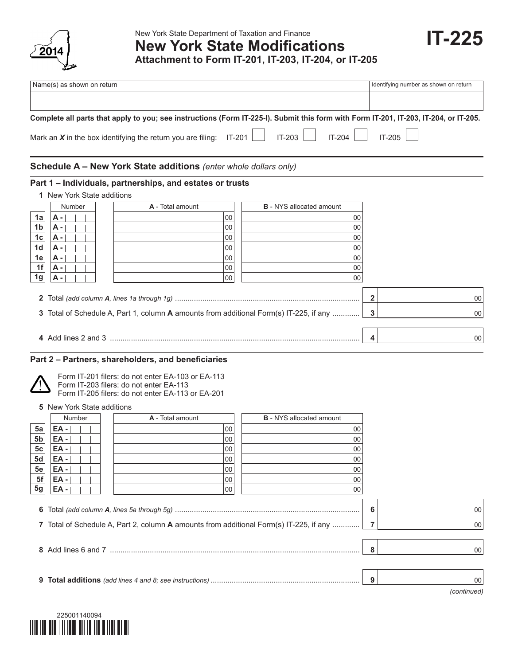

|                                                                                                                                                                                                                                                    | Name(s) as shown on return |                                                                                      |                                 | Identifying number as shown on return |  |
|----------------------------------------------------------------------------------------------------------------------------------------------------------------------------------------------------------------------------------------------------|----------------------------|--------------------------------------------------------------------------------------|---------------------------------|---------------------------------------|--|
|                                                                                                                                                                                                                                                    |                            |                                                                                      |                                 |                                       |  |
| Complete all parts that apply to you; see instructions (Form IT-225-I). Submit this form with Form IT-201, IT-203, IT-204, or IT-205.<br>IT-205<br>IT-203<br>Mark an $X$ in the box identifying the return you are filing: IT-201 $\Box$<br>IT-204 |                            |                                                                                      |                                 |                                       |  |
|                                                                                                                                                                                                                                                    |                            | Schedule A - New York State additions (enter whole dollars only)                     |                                 |                                       |  |
|                                                                                                                                                                                                                                                    | 1 New York State additions | Part 1 – Individuals, partnerships, and estates or trusts                            |                                 |                                       |  |
|                                                                                                                                                                                                                                                    | Number                     | A - Total amount                                                                     | <b>B</b> - NYS allocated amount |                                       |  |
| 1a                                                                                                                                                                                                                                                 | <b>A</b> -                 | 00                                                                                   | 00                              |                                       |  |
| 1 <sub>b</sub>                                                                                                                                                                                                                                     | A -                        | 00                                                                                   | 00                              |                                       |  |
| $1c$                                                                                                                                                                                                                                               | <b>A</b> -                 | 00                                                                                   | 00                              |                                       |  |
| 1 <sub>d</sub>                                                                                                                                                                                                                                     | $A -$                      | 00                                                                                   | 00                              |                                       |  |
| 1e                                                                                                                                                                                                                                                 | <b>A</b> -                 | 00                                                                                   | 00                              |                                       |  |
| 1f                                                                                                                                                                                                                                                 | A -                        | 00                                                                                   | 00                              |                                       |  |
| 1 <sub>g</sub>                                                                                                                                                                                                                                     | <b>A</b> -                 | 00                                                                                   | 00                              |                                       |  |
| $\mathbf{2}$                                                                                                                                                                                                                                       |                            |                                                                                      |                                 | $\mathbf{2}$<br>00                    |  |
| 3                                                                                                                                                                                                                                                  |                            | Total of Schedule A, Part 1, column A amounts from additional Form(s) IT-225, if any |                                 | 3<br>100                              |  |
|                                                                                                                                                                                                                                                    |                            |                                                                                      |                                 | 00<br>4                               |  |

# **Part 2 – Partners, shareholders, and beneficiaries**



#### Form IT-201 filers: do not enter EA-103 or EA-113 Form IT-203 filers: do not enter EA-113

Form IT-205 filers: do not enter EA-113 or EA-201

**5** New York State additions

|                | Number                                                                                 | A - Total amount | <b>B</b> - NYS allocated amount |  |  |
|----------------|----------------------------------------------------------------------------------------|------------------|---------------------------------|--|--|
| 5a             | EA -                                                                                   | 100              | 00                              |  |  |
| 5 <sub>b</sub> | EA -                                                                                   | 00               | 00                              |  |  |
| 5 <sub>c</sub> | EA -                                                                                   | 00               | 00                              |  |  |
| 5d             | EA -                                                                                   | 00               | 00                              |  |  |
| 5e             | EA -                                                                                   | 00               | 00                              |  |  |
| 5f             | EA -                                                                                   | 00               | 00                              |  |  |
| 5g             | EA -                                                                                   | 00               | 00                              |  |  |
|                | 7 Total of Schedule A, Part 2, column A amounts from additional Form(s) IT-225, if any | 6                | 00<br>100                       |  |  |

**8** Add lines 6 and 7 ....................................................................................................................... **8** 00 **9 Total additions** *(add lines 4 and 8; see instructions)* ....................................................................... **9** 00





**IT-225**